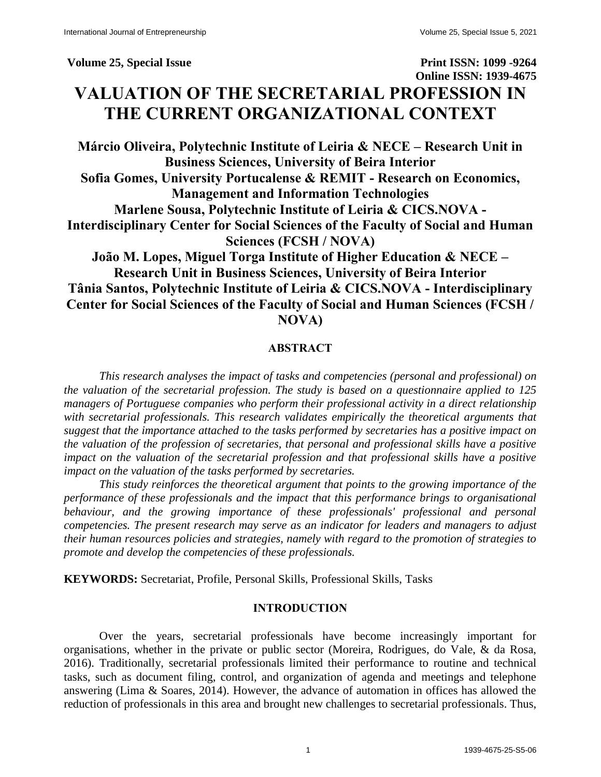**Volume 25, Special Issue Print ISSN: 1099 -9264 Online ISSN: 1939-4675**

# **VALUATION OF THE SECRETARIAL PROFESSION IN THE CURRENT ORGANIZATIONAL CONTEXT**

**Márcio Oliveira, Polytechnic Institute of Leiria & NECE – Research Unit in Business Sciences, University of Beira Interior Sofia Gomes, University Portucalense & REMIT - Research on Economics, Management and Information Technologies Marlene Sousa, Polytechnic Institute of Leiria & CICS.NOVA - Interdisciplinary Center for Social Sciences of the Faculty of Social and Human Sciences (FCSH / NOVA) João M. Lopes, Miguel Torga Institute of Higher Education & NECE – Research Unit in Business Sciences, University of Beira Interior Tânia Santos, Polytechnic Institute of Leiria & CICS.NOVA - Interdisciplinary Center for Social Sciences of the Faculty of Social and Human Sciences (FCSH / NOVA)**

## **ABSTRACT**

*This research analyses the impact of tasks and competencies (personal and professional) on the valuation of the secretarial profession. The study is based on a questionnaire applied to 125 managers of Portuguese companies who perform their professional activity in a direct relationship with secretarial professionals. This research validates empirically the theoretical arguments that suggest that the importance attached to the tasks performed by secretaries has a positive impact on the valuation of the profession of secretaries, that personal and professional skills have a positive impact on the valuation of the secretarial profession and that professional skills have a positive impact on the valuation of the tasks performed by secretaries.*

*This study reinforces the theoretical argument that points to the growing importance of the performance of these professionals and the impact that this performance brings to organisational behaviour, and the growing importance of these professionals' professional and personal competencies. The present research may serve as an indicator for leaders and managers to adjust their human resources policies and strategies, namely with regard to the promotion of strategies to promote and develop the competencies of these professionals.* 

**KEYWORDS:** Secretariat, Profile, Personal Skills, Professional Skills, Tasks

## **INTRODUCTION**

Over the years, secretarial professionals have become increasingly important for organisations, whether in the private or public sector (Moreira, Rodrigues, do Vale, & da Rosa, 2016). Traditionally, secretarial professionals limited their performance to routine and technical tasks, such as document filing, control, and organization of agenda and meetings and telephone answering (Lima & Soares, 2014). However, the advance of automation in offices has allowed the reduction of professionals in this area and brought new challenges to secretarial professionals. Thus,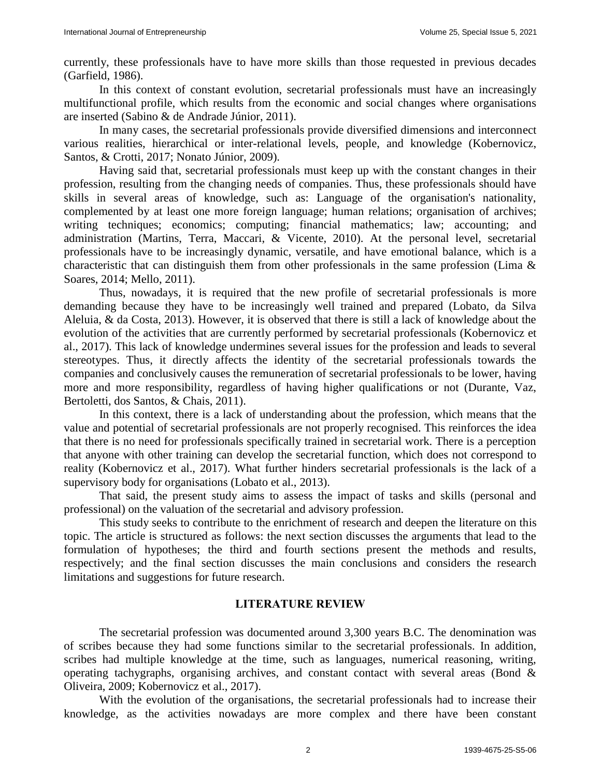currently, these professionals have to have more skills than those requested in previous decades (Garfield, 1986).

In this context of constant evolution, secretarial professionals must have an increasingly multifunctional profile, which results from the economic and social changes where organisations are inserted (Sabino & de Andrade Júnior, 2011).

In many cases, the secretarial professionals provide diversified dimensions and interconnect various realities, hierarchical or inter-relational levels, people, and knowledge (Kobernovicz, Santos, & Crotti, 2017; Nonato Júnior, 2009).

Having said that, secretarial professionals must keep up with the constant changes in their profession, resulting from the changing needs of companies. Thus, these professionals should have skills in several areas of knowledge, such as: Language of the organisation's nationality, complemented by at least one more foreign language; human relations; organisation of archives; writing techniques; economics; computing; financial mathematics; law; accounting; and administration (Martins, Terra, Maccari, & Vicente, 2010). At the personal level, secretarial professionals have to be increasingly dynamic, versatile, and have emotional balance, which is a characteristic that can distinguish them from other professionals in the same profession (Lima & Soares, 2014; Mello, 2011).

Thus, nowadays, it is required that the new profile of secretarial professionals is more demanding because they have to be increasingly well trained and prepared (Lobato, da Silva Aleluia, & da Costa, 2013). However, it is observed that there is still a lack of knowledge about the evolution of the activities that are currently performed by secretarial professionals (Kobernovicz et al., 2017). This lack of knowledge undermines several issues for the profession and leads to several stereotypes. Thus, it directly affects the identity of the secretarial professionals towards the companies and conclusively causes the remuneration of secretarial professionals to be lower, having more and more responsibility, regardless of having higher qualifications or not (Durante, Vaz, Bertoletti, dos Santos, & Chais, 2011).

In this context, there is a lack of understanding about the profession, which means that the value and potential of secretarial professionals are not properly recognised. This reinforces the idea that there is no need for professionals specifically trained in secretarial work. There is a perception that anyone with other training can develop the secretarial function, which does not correspond to reality (Kobernovicz et al., 2017). What further hinders secretarial professionals is the lack of a supervisory body for organisations (Lobato et al., 2013).

That said, the present study aims to assess the impact of tasks and skills (personal and professional) on the valuation of the secretarial and advisory profession.

This study seeks to contribute to the enrichment of research and deepen the literature on this topic. The article is structured as follows: the next section discusses the arguments that lead to the formulation of hypotheses; the third and fourth sections present the methods and results, respectively; and the final section discusses the main conclusions and considers the research limitations and suggestions for future research.

#### **LITERATURE REVIEW**

The secretarial profession was documented around 3,300 years B.C. The denomination was of scribes because they had some functions similar to the secretarial professionals. In addition, scribes had multiple knowledge at the time, such as languages, numerical reasoning, writing, operating tachygraphs, organising archives, and constant contact with several areas (Bond & Oliveira, 2009; Kobernovicz et al., 2017).

With the evolution of the organisations, the secretarial professionals had to increase their knowledge, as the activities nowadays are more complex and there have been constant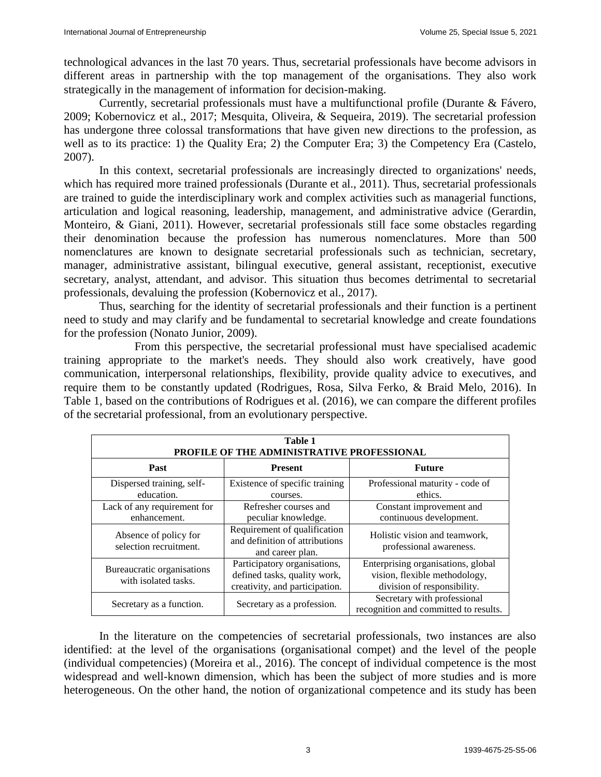technological advances in the last 70 years. Thus, secretarial professionals have become advisors in different areas in partnership with the top management of the organisations. They also work strategically in the management of information for decision-making.

Currently, secretarial professionals must have a multifunctional profile (Durante & Fávero, 2009; Kobernovicz et al., 2017; Mesquita, Oliveira, & Sequeira, 2019). The secretarial profession has undergone three colossal transformations that have given new directions to the profession, as well as to its practice: 1) the Quality Era; 2) the Computer Era; 3) the Competency Era (Castelo, 2007).

In this context, secretarial professionals are increasingly directed to organizations' needs, which has required more trained professionals (Durante et al., 2011). Thus, secretarial professionals are trained to guide the interdisciplinary work and complex activities such as managerial functions, articulation and logical reasoning, leadership, management, and administrative advice (Gerardin, Monteiro, & Giani, 2011). However, secretarial professionals still face some obstacles regarding their denomination because the profession has numerous nomenclatures. More than 500 nomenclatures are known to designate secretarial professionals such as technician, secretary, manager, administrative assistant, bilingual executive, general assistant, receptionist, executive secretary, analyst, attendant, and advisor. This situation thus becomes detrimental to secretarial professionals, devaluing the profession (Kobernovicz et al., 2017).

Thus, searching for the identity of secretarial professionals and their function is a pertinent need to study and may clarify and be fundamental to secretarial knowledge and create foundations for the profession (Nonato Junior, 2009).

From this perspective, the secretarial professional must have specialised academic training appropriate to the market's needs. They should also work creatively, have good communication, interpersonal relationships, flexibility, provide quality advice to executives, and require them to be constantly updated (Rodrigues, Rosa, Silva Ferko, & Braid Melo, 2016). In Table 1, based on the contributions of Rodrigues et al. (2016), we can compare the different profiles of the secretarial professional, from an evolutionary perspective.

| Table 1<br>PROFILE OF THE ADMINISTRATIVE PROFESSIONAL |                                                                                                |                                                                                                    |  |  |  |  |  |
|-------------------------------------------------------|------------------------------------------------------------------------------------------------|----------------------------------------------------------------------------------------------------|--|--|--|--|--|
| Past                                                  | <b>Present</b>                                                                                 | <b>Future</b>                                                                                      |  |  |  |  |  |
| Dispersed training, self-<br>education.               | Existence of specific training<br>courses.                                                     | Professional maturity - code of<br>ethics.                                                         |  |  |  |  |  |
| Lack of any requirement for<br>enhancement.           | Refresher courses and<br>peculiar knowledge.                                                   | Constant improvement and<br>continuous development.                                                |  |  |  |  |  |
| Absence of policy for<br>selection recruitment.       | Requirement of qualification<br>and definition of attributions<br>and career plan.             | Holistic vision and teamwork,<br>professional awareness.                                           |  |  |  |  |  |
| Bureaucratic organisations<br>with isolated tasks.    | Participatory organisations,<br>defined tasks, quality work,<br>creativity, and participation. | Enterprising organisations, global<br>vision, flexible methodology,<br>division of responsibility. |  |  |  |  |  |
| Secretary as a function.                              | Secretary as a profession.                                                                     | Secretary with professional<br>recognition and committed to results.                               |  |  |  |  |  |

In the literature on the competencies of secretarial professionals, two instances are also identified: at the level of the organisations (organisational compet) and the level of the people (individual competencies) (Moreira et al., 2016). The concept of individual competence is the most widespread and well-known dimension, which has been the subject of more studies and is more heterogeneous. On the other hand, the notion of organizational competence and its study has been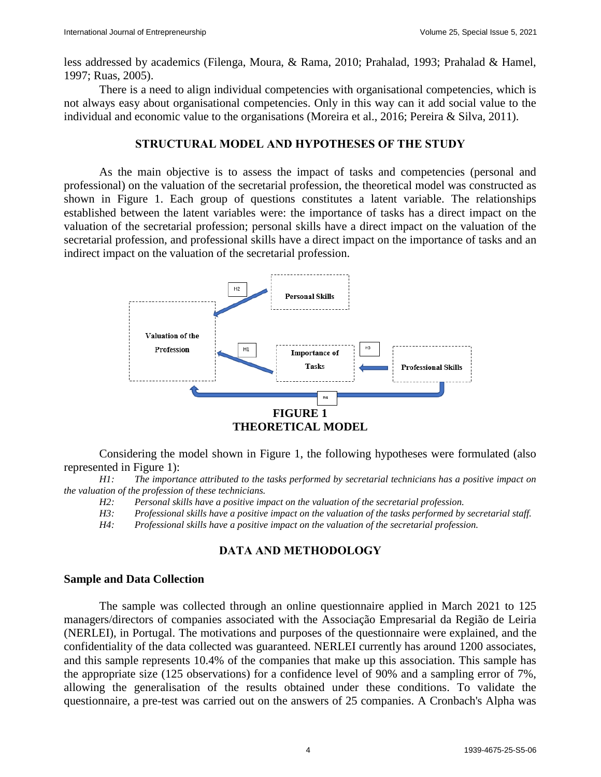less addressed by academics (Filenga, Moura, & Rama, 2010; Prahalad, 1993; Prahalad & Hamel, 1997; Ruas, 2005).

There is a need to align individual competencies with organisational competencies, which is not always easy about organisational competencies. Only in this way can it add social value to the individual and economic value to the organisations (Moreira et al., 2016; Pereira & Silva, 2011).

#### **STRUCTURAL MODEL AND HYPOTHESES OF THE STUDY**

As the main objective is to assess the impact of tasks and competencies (personal and professional) on the valuation of the secretarial profession, the theoretical model was constructed as shown in Figure 1. Each group of questions constitutes a latent variable. The relationships established between the latent variables were: the importance of tasks has a direct impact on the valuation of the secretarial profession; personal skills have a direct impact on the valuation of the secretarial profession, and professional skills have a direct impact on the importance of tasks and an indirect impact on the valuation of the secretarial profession.



Considering the model shown in Figure 1, the following hypotheses were formulated (also represented in Figure 1):

*H1: The importance attributed to the tasks performed by secretarial technicians has a positive impact on the valuation of the profession of these technicians.*

*H2: Personal skills have a positive impact on the valuation of the secretarial profession.*

*H3: Professional skills have a positive impact on the valuation of the tasks performed by secretarial staff.*

*H4: Professional skills have a positive impact on the valuation of the secretarial profession.*

# **DATA AND METHODOLOGY**

#### **Sample and Data Collection**

The sample was collected through an online questionnaire applied in March 2021 to 125 managers/directors of companies associated with the Associação Empresarial da Região de Leiria (NERLEI), in Portugal. The motivations and purposes of the questionnaire were explained, and the confidentiality of the data collected was guaranteed. NERLEI currently has around 1200 associates, and this sample represents 10.4% of the companies that make up this association. This sample has the appropriate size (125 observations) for a confidence level of 90% and a sampling error of 7%, allowing the generalisation of the results obtained under these conditions. To validate the questionnaire, a pre-test was carried out on the answers of 25 companies. A Cronbach's Alpha was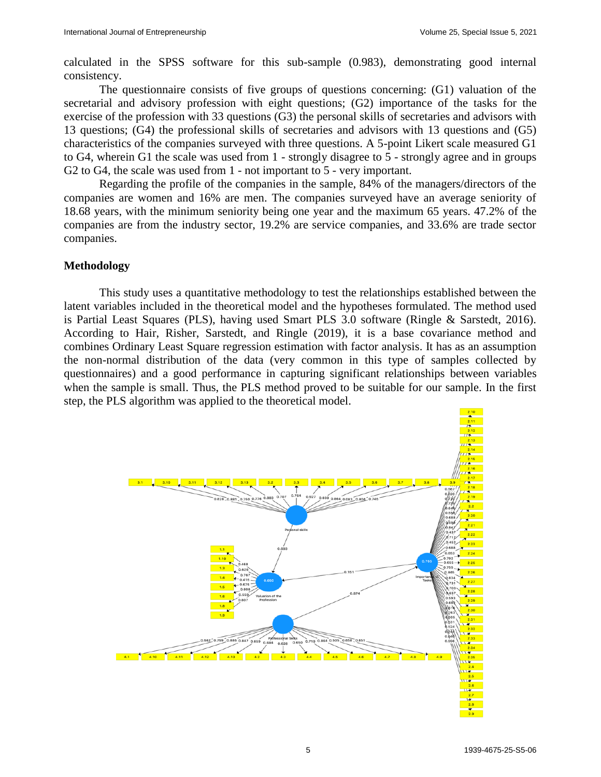calculated in the SPSS software for this sub-sample (0.983), demonstrating good internal consistency.

The questionnaire consists of five groups of questions concerning: (G1) valuation of the secretarial and advisory profession with eight questions; (G2) importance of the tasks for the exercise of the profession with 33 questions (G3) the personal skills of secretaries and advisors with 13 questions; (G4) the professional skills of secretaries and advisors with 13 questions and (G5) characteristics of the companies surveyed with three questions. A 5-point Likert scale measured G1 to G4, wherein G1 the scale was used from 1 - strongly disagree to 5 - strongly agree and in groups G2 to G4, the scale was used from 1 - not important to 5 - very important.

Regarding the profile of the companies in the sample, 84% of the managers/directors of the companies are women and 16% are men. The companies surveyed have an average seniority of 18.68 years, with the minimum seniority being one year and the maximum 65 years. 47.2% of the companies are from the industry sector, 19.2% are service companies, and 33.6% are trade sector companies.

#### **Methodology**

This study uses a quantitative methodology to test the relationships established between the latent variables included in the theoretical model and the hypotheses formulated. The method used is Partial Least Squares (PLS), having used Smart PLS 3.0 software (Ringle & Sarstedt, 2016). According to Hair, Risher, Sarstedt, and Ringle (2019), it is a base covariance method and combines Ordinary Least Square regression estimation with factor analysis. It has as an assumption the non-normal distribution of the data (very common in this type of samples collected by questionnaires) and a good performance in capturing significant relationships between variables when the sample is small. Thus, the PLS method proved to be suitable for our sample. In the first step, the PLS algorithm was applied to the theoretical model.

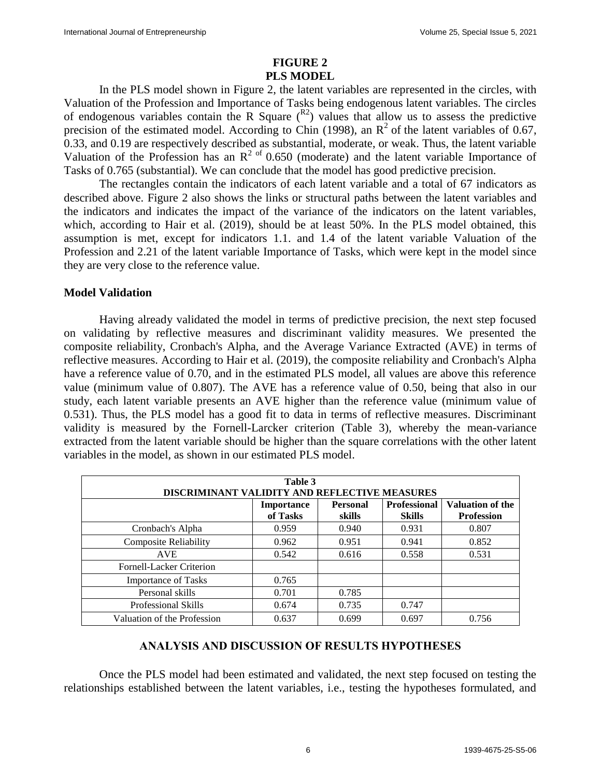#### **FIGURE 2 PLS MODEL**

In the PLS model shown in Figure 2, the latent variables are represented in the circles, with Valuation of the Profession and Importance of Tasks being endogenous latent variables. The circles of endogenous variables contain the R Square  $\binom{R^2}{R}$  values that allow us to assess the predictive precision of the estimated model. According to Chin (1998), an  $\mathbb{R}^2$  of the latent variables of 0.67, 0.33, and 0.19 are respectively described as substantial, moderate, or weak. Thus, the latent variable Valuation of the Profession has an  $R^2$  of 0.650 (moderate) and the latent variable Importance of Tasks of 0.765 (substantial). We can conclude that the model has good predictive precision.

The rectangles contain the indicators of each latent variable and a total of 67 indicators as described above. Figure 2 also shows the links or structural paths between the latent variables and the indicators and indicates the impact of the variance of the indicators on the latent variables, which, according to Hair et al. (2019), should be at least 50%. In the PLS model obtained, this assumption is met, except for indicators 1.1. and 1.4 of the latent variable Valuation of the Profession and 2.21 of the latent variable Importance of Tasks, which were kept in the model since they are very close to the reference value.

## **Model Validation**

Having already validated the model in terms of predictive precision, the next step focused on validating by reflective measures and discriminant validity measures. We presented the composite reliability, Cronbach's Alpha, and the Average Variance Extracted (AVE) in terms of reflective measures. According to Hair et al. (2019), the composite reliability and Cronbach's Alpha have a reference value of 0.70, and in the estimated PLS model, all values are above this reference value (minimum value of 0.807). The AVE has a reference value of 0.50, being that also in our study, each latent variable presents an AVE higher than the reference value (minimum value of 0.531). Thus, the PLS model has a good fit to data in terms of reflective measures. Discriminant validity is measured by the Fornell-Larcker criterion (Table 3), whereby the mean-variance extracted from the latent variable should be higher than the square correlations with the other latent variables in the model, as shown in our estimated PLS model.

| Table 3<br><b>DISCRIMINANT VALIDITY AND REFLECTIVE MEASURES</b> |                               |                           |                                      |                                              |  |  |  |
|-----------------------------------------------------------------|-------------------------------|---------------------------|--------------------------------------|----------------------------------------------|--|--|--|
|                                                                 | <b>Importance</b><br>of Tasks | <b>Personal</b><br>skills | <b>Professional</b><br><b>Skills</b> | <b>Valuation of the</b><br><b>Profession</b> |  |  |  |
| Cronbach's Alpha                                                | 0.959                         | 0.940                     | 0.931                                | 0.807                                        |  |  |  |
| <b>Composite Reliability</b>                                    | 0.962                         | 0.951                     | 0.941                                | 0.852                                        |  |  |  |
| <b>AVE</b>                                                      | 0.542                         | 0.616                     | 0.558                                | 0.531                                        |  |  |  |
| Fornell-Lacker Criterion                                        |                               |                           |                                      |                                              |  |  |  |
| <b>Importance of Tasks</b>                                      | 0.765                         |                           |                                      |                                              |  |  |  |
| Personal skills                                                 | 0.701                         | 0.785                     |                                      |                                              |  |  |  |
| Professional Skills                                             | 0.674                         | 0.735                     | 0.747                                |                                              |  |  |  |
| Valuation of the Profession                                     | 0.637                         | 0.699                     | 0.697                                | 0.756                                        |  |  |  |

# **ANALYSIS AND DISCUSSION OF RESULTS HYPOTHESES**

Once the PLS model had been estimated and validated, the next step focused on testing the relationships established between the latent variables, i.e., testing the hypotheses formulated, and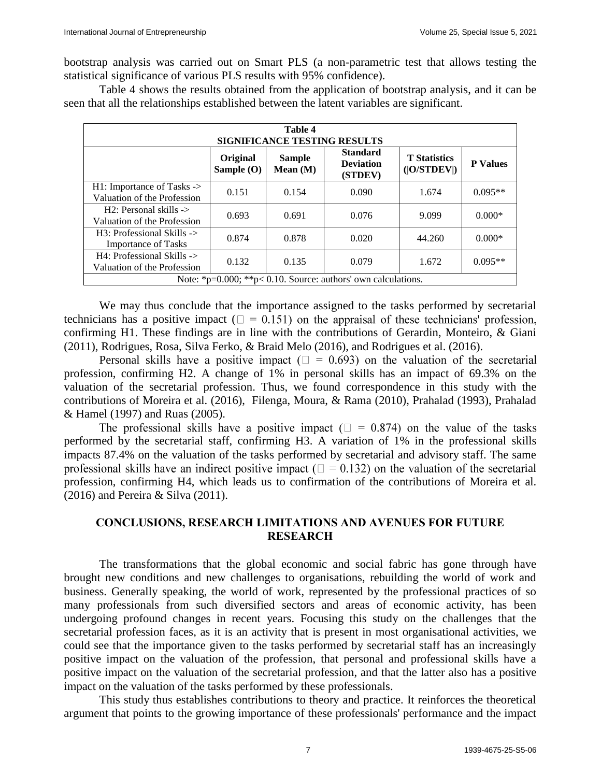bootstrap analysis was carried out on Smart PLS (a non-parametric test that allows testing the statistical significance of various PLS results with 95% confidence).

Table 4 shows the results obtained from the application of bootstrap analysis, and it can be seen that all the relationships established between the latent variables are significant.

| Table 4<br>SIGNIFICANCE TESTING RESULTS                                |                        |                             |                                                |                                    |                 |  |  |
|------------------------------------------------------------------------|------------------------|-----------------------------|------------------------------------------------|------------------------------------|-----------------|--|--|
|                                                                        | Original<br>Sample (O) | <b>Sample</b><br>Mean $(M)$ | <b>Standard</b><br><b>Deviation</b><br>(STDEV) | <b>T</b> Statistics<br>( O/STDEV ) | <b>P</b> Values |  |  |
| $H1:$ Importance of Tasks $\rightarrow$<br>Valuation of the Profession | 0.151                  | 0.154                       | 0.090                                          | 1.674                              | $0.095**$       |  |  |
| $H2$ : Personal skills $\rightarrow$<br>Valuation of the Profession    | 0.693                  | 0.691                       | 0.076                                          | 9.099                              | $0.000*$        |  |  |
| $H3:$ Professional Skills $\rightarrow$<br><b>Importance of Tasks</b>  | 0.874                  | 0.878                       | 0.020                                          | 44.260                             | $0.000*$        |  |  |
| $H4$ : Professional Skills -><br>Valuation of the Profession           | 0.132                  | 0.135                       | 0.079                                          | 1.672                              | $0.095**$       |  |  |
| Note: *p= $0.000$ ; **p< 0.10. Source: authors' own calculations.      |                        |                             |                                                |                                    |                 |  |  |

We may thus conclude that the importance assigned to the tasks performed by secretarial technicians has a positive impact ( $\square$  = 0.151) on the appraisal of these technicians' profession, confirming H1. These findings are in line with the contributions of Gerardin, Monteiro, & Giani (2011), Rodrigues, Rosa, Silva Ferko, & Braid Melo (2016), and Rodrigues et al. (2016).

Personal skills have a positive impact ( $\Box$  = 0.693) on the valuation of the secretarial profession, confirming H2. A change of 1% in personal skills has an impact of 69.3% on the valuation of the secretarial profession. Thus, we found correspondence in this study with the contributions of Moreira et al. (2016), Filenga, Moura, & Rama (2010), Prahalad (1993), Prahalad & Hamel (1997) and Ruas (2005).

The professional skills have a positive impact ( $\Box$  = 0.874) on the value of the tasks performed by the secretarial staff, confirming H3. A variation of 1% in the professional skills impacts 87.4% on the valuation of the tasks performed by secretarial and advisory staff. The same professional skills have an indirect positive impact ( $\Box = 0.132$ ) on the valuation of the secretarial profession, confirming H4, which leads us to confirmation of the contributions of Moreira et al. (2016) and Pereira & Silva (2011).

## **CONCLUSIONS, RESEARCH LIMITATIONS AND AVENUES FOR FUTURE RESEARCH**

The transformations that the global economic and social fabric has gone through have brought new conditions and new challenges to organisations, rebuilding the world of work and business. Generally speaking, the world of work, represented by the professional practices of so many professionals from such diversified sectors and areas of economic activity, has been undergoing profound changes in recent years. Focusing this study on the challenges that the secretarial profession faces, as it is an activity that is present in most organisational activities, we could see that the importance given to the tasks performed by secretarial staff has an increasingly positive impact on the valuation of the profession, that personal and professional skills have a positive impact on the valuation of the secretarial profession, and that the latter also has a positive impact on the valuation of the tasks performed by these professionals.

This study thus establishes contributions to theory and practice. It reinforces the theoretical argument that points to the growing importance of these professionals' performance and the impact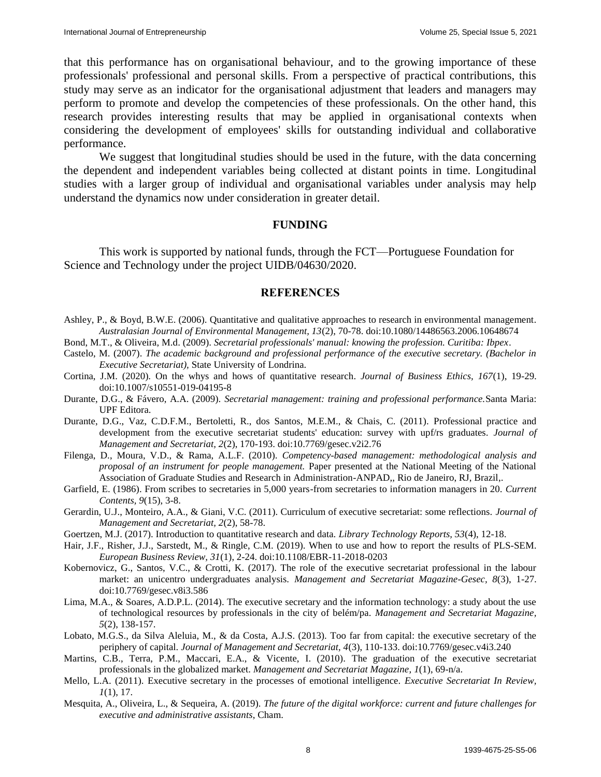that this performance has on organisational behaviour, and to the growing importance of these professionals' professional and personal skills. From a perspective of practical contributions, this study may serve as an indicator for the organisational adjustment that leaders and managers may perform to promote and develop the competencies of these professionals. On the other hand, this research provides interesting results that may be applied in organisational contexts when considering the development of employees' skills for outstanding individual and collaborative performance.

We suggest that longitudinal studies should be used in the future, with the data concerning the dependent and independent variables being collected at distant points in time. Longitudinal studies with a larger group of individual and organisational variables under analysis may help understand the dynamics now under consideration in greater detail.

#### **FUNDING**

This work is supported by national funds, through the FCT—Portuguese Foundation for Science and Technology under the project UIDB/04630/2020.

#### **REFERENCES**

- Ashley, P., & Boyd, B.W.E. (2006). Quantitative and qualitative approaches to research in environmental management. *Australasian Journal of Environmental Management, 13*(2), 70-78. doi:10.1080/14486563.2006.10648674
- Bond, M.T., & Oliveira, M.d. (2009). *Secretarial professionals' manual: knowing the profession. Curitiba: Ibpex*.
- Castelo, M. (2007). *The academic background and professional performance of the executive secretary. (Bachelor in Executive Secretariat),* State University of Londrina.
- Cortina, J.M. (2020). On the whys and hows of quantitative research. *Journal of Business Ethics, 167*(1), 19-29. doi:10.1007/s10551-019-04195-8
- Durante, D.G., & Fávero, A.A. (2009). *Secretarial management: training and professional performance.*Santa Maria: UPF Editora.
- Durante, D.G., Vaz, C.D.F.M., Bertoletti, R., dos Santos, M.E.M., & Chais, C. (2011). Professional practice and development from the executive secretariat students' education: survey with upf/rs graduates. *Journal of Management and Secretariat, 2*(2), 170-193. doi:10.7769/gesec.v2i2.76
- Filenga, D., Moura, V.D., & Rama, A.L.F. (2010). *Competency-based management: methodological analysis and proposal of an instrument for people management.* Paper presented at the National Meeting of the National Association of Graduate Studies and Research in Administration-ANPAD,, Rio de Janeiro, RJ, Brazil,.
- Garfield, E. (1986). From scribes to secretaries in 5,000 years-from secretaries to information managers in 20. *Current Contents, 9*(15), 3-8.
- Gerardin, U.J., Monteiro, A.A., & Giani, V.C. (2011). Curriculum of executive secretariat: some reflections. *Journal of Management and Secretariat, 2*(2), 58-78.
- Goertzen, M.J. (2017). Introduction to quantitative research and data. *Library Technology Reports, 53*(4), 12-18.
- Hair, J.F., Risher, J.J., Sarstedt, M., & Ringle, C.M. (2019). When to use and how to report the results of PLS-SEM. *European Business Review, 31*(1), 2-24. doi:10.1108/EBR-11-2018-0203
- Kobernovicz, G., Santos, V.C., & Crotti, K. (2017). The role of the executive secretariat professional in the labour market: an unicentro undergraduates analysis. *Management and Secretariat Magazine-Gesec, 8*(3), 1-27. doi:10.7769/gesec.v8i3.586
- Lima, M.A., & Soares, A.D.P.L. (2014). The executive secretary and the information technology: a study about the use of technological resources by professionals in the city of belém/pa. *Management and Secretariat Magazine, 5*(2), 138-157.
- Lobato, M.G.S., da Silva Aleluia, M., & da Costa, A.J.S. (2013). Too far from capital: the executive secretary of the periphery of capital. *Journal of Management and Secretariat, 4*(3), 110-133. doi:10.7769/gesec.v4i3.240
- Martins, C.B., Terra, P.M., Maccari, E.A., & Vicente, I. (2010). The graduation of the executive secretariat professionals in the globalized market. *Management and Secretariat Magazine, 1*(1), 69-n/a.
- Mello, L.A. (2011). Executive secretary in the processes of emotional intelligence. *Executive Secretariat In Review, 1*(1), 17.
- Mesquita, A., Oliveira, L., & Sequeira, A. (2019). *The future of the digital workforce: current and future challenges for executive and administrative assistants*, Cham.